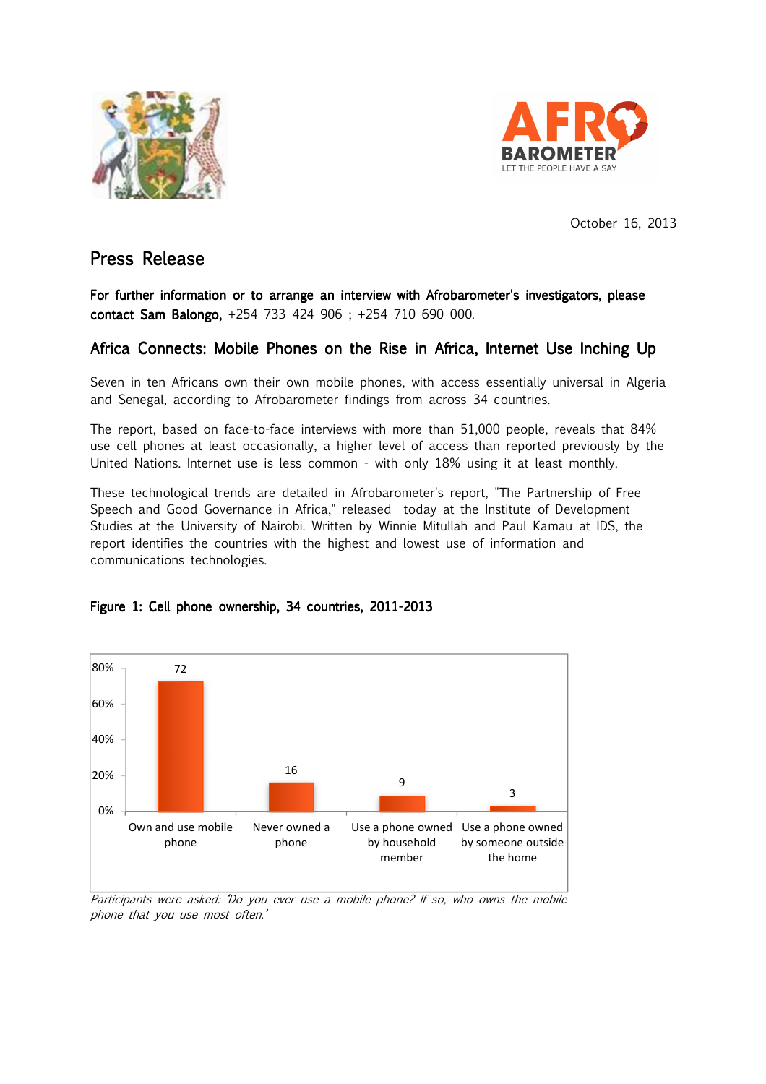



October 16, 2013

## Press Release

For further information or to arrange an interview with Afrobarometer's investigators, please contact Sam Balongo, +254 733 424 906 ; +254 710 690 000.

### Africa Connects: Mobile Phones on the Rise in Africa, Internet Use Inching Up

Seven in ten Africans own their own mobile phones, with access essentially universal in Algeria and Senegal, according to Afrobarometer findings from across 34 countries.

The report, based on face-to-face interviews with more than 51,000 people, reveals that 84% use cell phones at least occasionally, a higher level of access than reported previously by the United Nations. Internet use is less common - with only 18% using it at least monthly.

These technological trends are detailed in Afrobarometer's report, "The Partnership of Free Speech and Good Governance in Africa," released today at the Institute of Development Studies at the University of Nairobi. Written by Winnie Mitullah and Paul Kamau at IDS, the report identifies the countries with the highest and lowest use of information and communications technologies.



#### Figure 1: Cell phone ownership, 34 countries, 2011-2013

Participants were asked: 'Do you ever use a mobile phone? If so, who owns the mobile phone that you use most often.'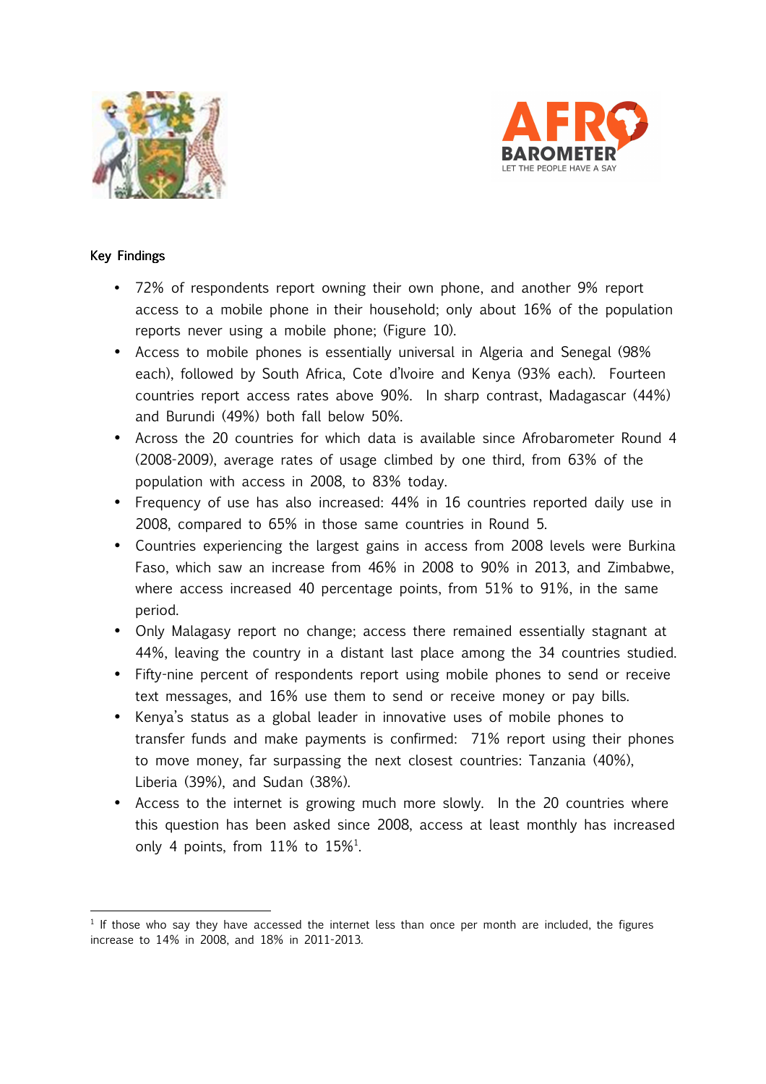



#### Key Findings

 $\overline{\phantom{0}}$ 

- 72% of respondents report owning their own phone, and another 9% report access to a mobile phone in their household; only about 16% of the population reports never using a mobile phone; (Figure 10).
- Access to mobile phones is essentially universal in Algeria and Senegal (98% each), followed by South Africa, Cote d'Ivoire and Kenya (93% each). Fourteen countries report access rates above 90%. In sharp contrast, Madagascar (44%) and Burundi (49%) both fall below 50%.
- Across the 20 countries for which data is available since Afrobarometer Round 4 (2008-2009), average rates of usage climbed by one third, from 63% of the population with access in 2008, to 83% today.
- Frequency of use has also increased: 44% in 16 countries reported daily use in 2008, compared to 65% in those same countries in Round 5.
- Countries experiencing the largest gains in access from 2008 levels were Burkina Faso, which saw an increase from 46% in 2008 to 90% in 2013, and Zimbabwe, where access increased 40 percentage points, from 51% to 91%, in the same period.
- Only Malagasy report no change; access there remained essentially stagnant at 44%, leaving the country in a distant last place among the 34 countries studied.
- Fifty-nine percent of respondents report using mobile phones to send or receive text messages, and 16% use them to send or receive money or pay bills.
- Kenya's status as a global leader in innovative uses of mobile phones to transfer funds and make payments is confirmed: 71% report using their phones to move money, far surpassing the next closest countries: Tanzania (40%), Liberia (39%), and Sudan (38%).
- Access to the internet is growing much more slowly. In the 20 countries where this question has been asked since 2008, access at least monthly has increased only 4 points, from  $11\%$  to  $15\%$ <sup>1</sup>.

<sup>&</sup>lt;sup>1</sup> If those who say they have accessed the internet less than once per month are included, the figures increase to 14% in 2008, and 18% in 2011-2013.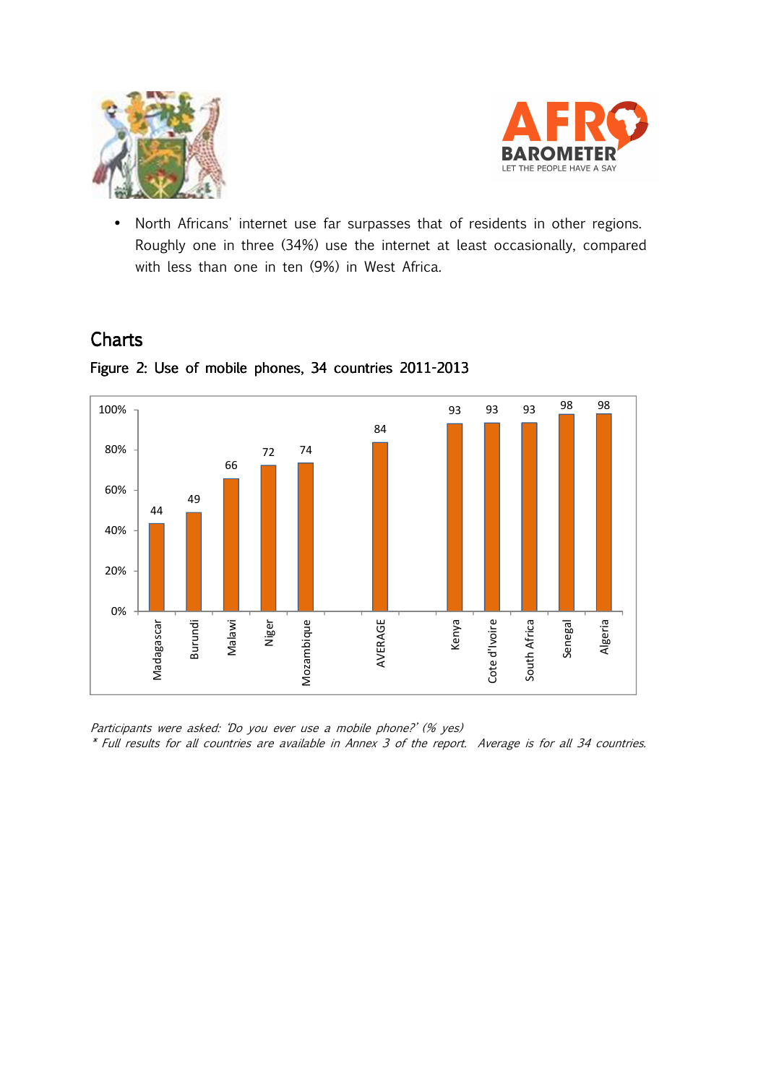



• North Africans' internet use far surpasses that of residents in other regions. Roughly one in three (34%) use the internet at least occasionally, compared with less than one in ten (9%) in West Africa.

# **Charts**



Figure 2: Use of mobile phones, 34 countries 2011-2013

Participants were asked: 'Do you ever use a mobile phone?' (% yes) \* Full results for all countries are available in Annex 3 of the report. Average is for all 34 countries.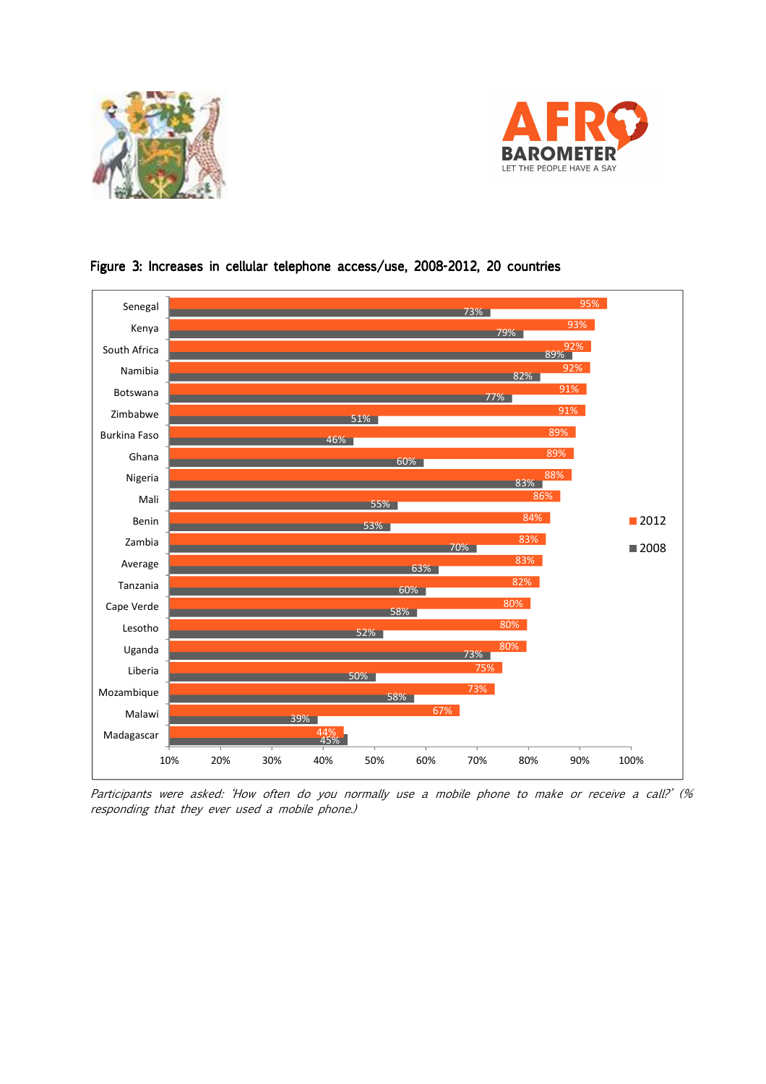





Figure 3: Increases in cellular telephone access/use, 2008-2012, 20 countries

Participants were asked: 'How often do you normally use a mobile phone to make or receive a call?' (% responding that they ever used a mobile phone.)